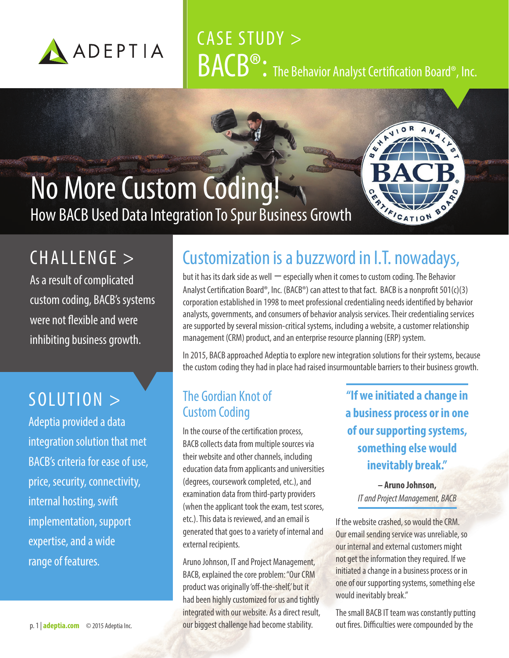

# CASE STUDY > **BACB®:** The Behavior Analyst Certification Board®, Inc.

**4.44.00** 

**CRATICATION** 

## No More Custom Coding! How BACB Used Data Integration To Spur Business Growth

## CHALLENGE >

As a result of complicated custom coding, BACB's systems were not flexible and were inhibiting business growth.

### SOLUTION >

Adeptia provided a data integration solution that met BACB's criteria for ease of use, price, security, connectivity, internal hosting, swift implementation, support expertise, and a wide range of features.

### Customization is a buzzword in I.T. nowadays,

but it has its dark side as well  $-$  especially when it comes to custom coding. The Behavior Analyst Certification Board®, Inc. (BACB®) can attest to that fact. BACB is a nonprofit 501(c)(3) corporation established in 1998 to meet professional credentialing needs identified by behavior analysts, governments, and consumers of behavior analysis services. Their credentialing services are supported by several mission-critical systems, including a website, a customer relationship management (CRM) product, and an enterprise resource planning (ERP) system.

In 2015, BACB approached Adeptia to explore new integration solutions for their systems, because the custom coding they had in place had raised insurmountable barriers to their business growth.

#### The Gordian Knot of Custom Coding

In the course of the certification process, BACB collects data from multiple sources via their website and other channels, including education data from applicants and universities (degrees, coursework completed, etc.), and examination data from third-party providers (when the applicant took the exam, test scores, etc.). This data is reviewed, and an email is generated that goes to a variety of internal and external recipients.

Aruno Johnson, IT and Project Management, BACB, explained the core problem: "Our CRM product was originally 'off-the-shelf,' but it had been highly customized for us and tightly integrated with our website. As a direct result, our biggest challenge had become stability.

**"If we initiated a change in a business process or in one of our supporting systems, something else would inevitably break."**

**– Aruno Johnson,**  *IT and Project Management, BACB*

If the website crashed, so would the CRM. Our email sending service was unreliable, so our internal and external customers might not get the information they required. If we initiated a change in a business process or in one of our supporting systems, something else would inevitably break."

The small BACB IT team was constantly putting out fires. Difficulties were compounded by the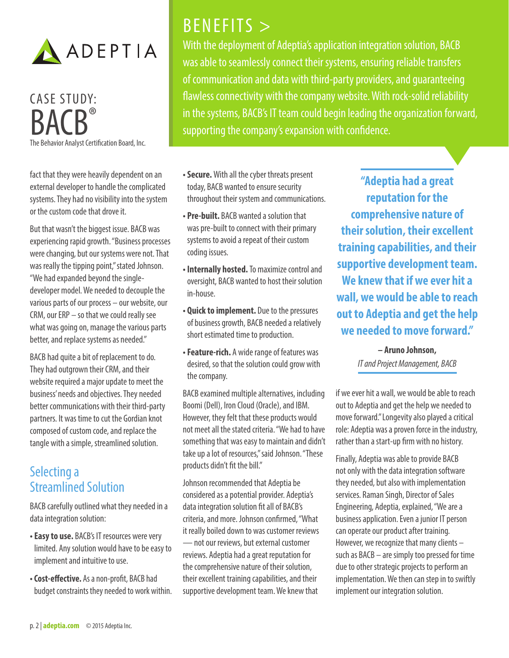

## CASE STUDY: RAC

The Behavior Analyst Certification Board, Inc.

fact that they were heavily dependent on an external developer to handle the complicated systems. They had no visibility into the system or the custom code that drove it.

But that wasn't the biggest issue. BACB was experiencing rapid growth. "Business processes were changing, but our systems were not. That was really the tipping point," stated Johnson. "We had expanded beyond the singledeveloper model. We needed to decouple the various parts of our process – our website, our CRM, our ERP – so that we could really see what was going on, manage the various parts better, and replace systems as needed."

BACB had quite a bit of replacement to do. They had outgrown their CRM, and their website required a major update to meet the business' needs and objectives. They needed better communications with their third-party partners. It was time to cut the Gordian knot composed of custom code, and replace the tangle with a simple, streamlined solution.

#### Selecting a Streamlined Solution

BACB carefully outlined what they needed in a data integration solution:

- **Easy to use.** BACB's IT resources were very limited. Any solution would have to be easy to implement and intuitive to use.
- **Cost-effective.** As a non-profit, BACB had budget constraints they needed to work within.

### BENEFITS >

With the deployment of Adeptia's application integration solution, BACB was able to seamlessly connect their systems, ensuring reliable transfers of communication and data with third-party providers, and guaranteeing flawless connectivity with the company website. With rock-solid reliability in the systems, BACB's IT team could begin leading the organization forward, supporting the company's expansion with confidence.

- **Secure.** With all the cyber threats present today, BACB wanted to ensure security throughout their system and communications.
- **Pre-built.** BACB wanted a solution that was pre-built to connect with their primary systems to avoid a repeat of their custom coding issues.
- **Internally hosted.** To maximize control and oversight, BACB wanted to host their solution in-house.
- **Quick to implement.** Due to the pressures of business growth, BACB needed a relatively short estimated time to production.
- **Feature-rich.** A wide range of features was desired, so that the solution could grow with the company.

BACB examined multiple alternatives, including Boomi (Dell), Iron Cloud (Oracle), and IBM. However, they felt that these products would not meet all the stated criteria. "We had to have something that was easy to maintain and didn't take up a lot of resources," said Johnson. "These products didn't fit the bill."

Johnson recommended that Adeptia be considered as a potential provider. Adeptia's data integration solution fit all of BACB's criteria, and more. Johnson confirmed, "What it really boiled down to was customer reviews — not our reviews, but external customer reviews. Adeptia had a great reputation for the comprehensive nature of their solution, their excellent training capabilities, and their supportive development team. We knew that

**"Adeptia had a great reputation for the comprehensive nature of their solution, their excellent training capabilities, and their supportive development team. We knew that if we ever hit a wall, we would be able to reach out to Adeptia and get the help we needed to move forward."**

> **– Aruno Johnson,**  *IT and Project Management, BACB*

if we ever hit a wall, we would be able to reach out to Adeptia and get the help we needed to move forward." Longevity also played a critical role: Adeptia was a proven force in the industry, rather than a start-up firm with no history.

Finally, Adeptia was able to provide BACB not only with the data integration software they needed, but also with implementation services. Raman Singh, Director of Sales Engineering, Adeptia, explained, "We are a business application. Even a junior IT person can operate our product after training. However, we recognize that many clients – such as BACB – are simply too pressed for time due to other strategic projects to perform an implementation. We then can step in to swiftly implement our integration solution.